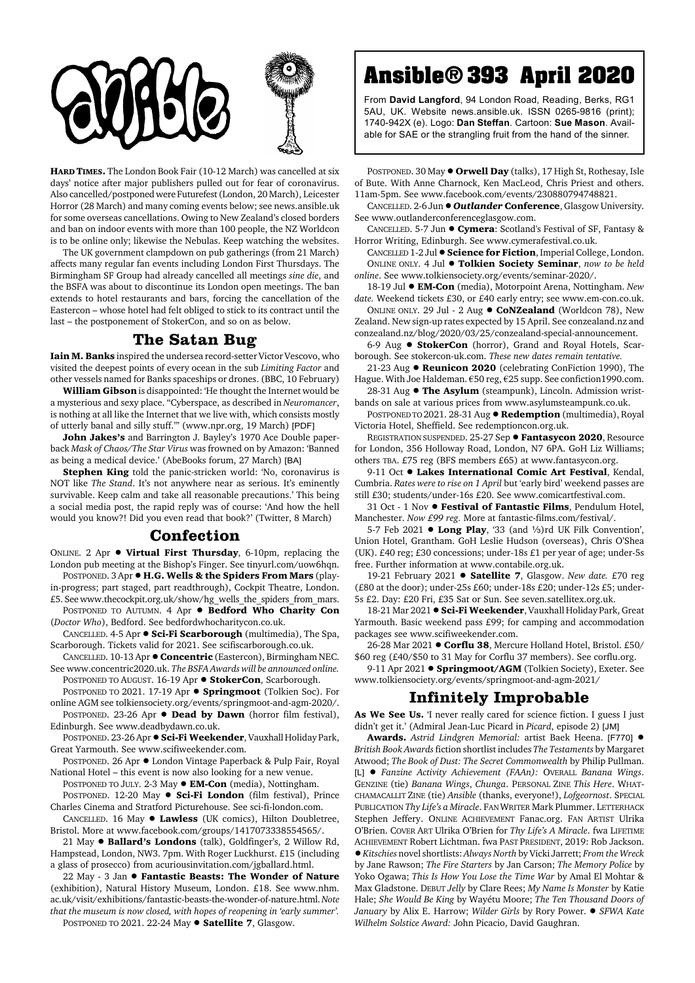

**HARD TIMES.** The London Book Fair (10-12 March) was cancelled at six days' notice after major publishers pulled out for fear of coronavirus. Also cancelled/postponed were Futurefest (London, 20 March), Leicester Horror (28 March) and many coming events below; see news.ansible.uk for some overseas cancellations. Owing to New Zealand's closed borders and ban on indoor events with more than 100 people, the NZ Worldcon is to be online only; likewise the Nebulas. Keep watching the websites.

The UK government clampdown on pub gatherings (from 21 March) affects many regular fan events including London First Thursdays. The Birmingham SF Group had already cancelled all meetings *sine die*, and the BSFA was about to discontinue its London open meetings. The ban extends to hotel restaurants and bars, forcing the cancellation of the Eastercon – whose hotel had felt obliged to stick to its contract until the last – the postponement of StokerCon, and so on as below.

## **The Satan Bug**

**Iain M. Banks** inspired the undersea record-setter Victor Vescovo, who visited the deepest points of every ocean in the sub *Limiting Factor* and other vessels named for Banks spaceships or drones. (BBC, 10 February)

**William Gibson** is disappointed: 'He thought the Internet would be a mysterious and sexy place. "Cyberspace, as described in *Neuromancer*, is nothing at all like the Internet that we live with, which consists mostly of utterly banal and silly stuff."' (www.npr.org, 19 March) [PDF]

**John Jakes's** and Barrington J. Bayley's 1970 Ace Double paperback *Mask of Chaos/The Star Virus* was frowned on by Amazon: 'Banned as being a medical device.' (AbeBooks forum, 27 March) [BA]

**Stephen King** told the panic-stricken world: 'No, coronavirus is NOT like *The Stand*. It's not anywhere near as serious. It's eminently survivable. Keep calm and take all reasonable precautions.' This being a social media post, the rapid reply was of course: 'And how the hell would you know?! Did you even read that book?' (Twitter, 8 March)

## **Confection**

ONLINE. 2 Apr  $\bullet$  Virtual First Thursday, 6-10pm, replacing the London pub meeting at the Bishop's Finger. See tinyurl.com/uow6hqn. POSTPONED. 3 Apr  $\bullet$  H.G. Wells & the Spiders From Mars (play-

in-progress; part staged, part readthrough), Cockpit Theatre, London. £5. See www.thecockpit.org.uk/show/hg\_wells\_the\_spiders\_from\_mars.

POSTPONED TO AUTUMN. 4 Apr  $\bullet$  **Bedford Who Charity Con** (*Doctor Who*), Bedford. See bedfordwhocharitycon.co.uk.

CANCELLED. 4-5 Apr ! **Sci-Fi Scarborough** (multimedia), The Spa, Scarborough. Tickets valid for 2021. See scifiscarborough.co.uk.

CANCELLED. 10-13 Apr !**Concentric** (Eastercon), Birmingham NEC. See www.concentric2020.uk. *The BSFA Awards will be announced online.* POSTPONED TO AUGUST. 16-19 Apr . StokerCon, Scarborough.

POSTPONED TO 2021. 17-19 Apr  $\bullet$  **Springmoot** (Tolkien Soc). For online AGM see tolkiensociety.org/events/springmoot-and-agm-2020/.

POSTPONED. 23-26 Apr  $\bullet$  **Dead by Dawn** (horror film festival), Edinburgh. See www.deadbydawn.co.uk.

POSTPONED. 23-26 Apr  $\bullet$  Sci-Fi Weekender, Vauxhall Holiday Park, Great Yarmouth. See www.scifiweekender.com.

POSTPONED. 26 Apr . London Vintage Paperback & Pulp Fair, Royal National Hotel – this event is now also looking for a new venue.

POSTPONED TO JULY. 2-3 May  $\bullet$  **EM-Con** (media), Nottingham. POSTPONED. 12-20 May  $\bullet$  Sci-Fi London (film festival), Prince

Charles Cinema and Stratford Picturehouse. See sci-fi-london.com. CANCELLED. 16 May  $\bullet$  Lawless (UK comics), Hilton Doubletree,

Bristol. More at www.facebook.com/groups/1417073338554565/.

21 May ! **Ballard's Londons** (talk), Goldfinger's, 2 Willow Rd, Hampstead, London, NW3. 7pm. With Roger Luckhurst. £15 (including a glass of prosecco) from acuriousinvitation.com/jgballard.html.

22 May - 3 Jan ! **Fantastic Beasts: The Wonder of Nature** (exhibition), Natural History Museum, London. £18. See www.nhm. ac.uk/visit/exhibitions/fantastic-beasts-the-wonder-of-nature.html. *Note that the museum is now closed, with hopes of reopening in 'early summer'.*

POSTPONED TO 2021. 22-24 May  $\bullet$  **Satellite 7**, Glasgow.

## **Ansible® 393 April 2020**

From **David Langford**, 94 London Road, Reading, Berks, RG1 5AU, UK. Website news.ansible.uk. ISSN 0265-9816 (print); 1740-942X (e). Logo: **Dan Steffan**. Cartoon: **Sue Mason**. Available for SAE or the strangling fruit from the hand of the sinner.

POSTPONED. 30 May  $\bullet$  Orwell Day (talks), 17 High St, Rothesay, Isle of Bute. With Anne Charnock, Ken MacLeod, Chris Priest and others. 11am-5pm. See www.facebook.com/events/230880794748821.

CANCELLED. 2-6 Jun ! *Outlander* **Conference**, Glasgow University. See www.outlanderconferenceglasgow.com.

CANCELLED. 5-7 Jun ! **Cymera**: Scotland's Festival of SF, Fantasy & Horror Writing, Edinburgh. See www.cymerafestival.co.uk.

CANCELLED 1-2 Jul  $\bullet$  **Science for Fiction**, Imperial College, London. ONLINE ONLY. 4 Jul ! **Tolkien Society Seminar**, *now to be held online*. See www.tolkiensociety.org/events/seminar-2020/.

18-19 Jul ! **EM-Con** (media), Motorpoint Arena, Nottingham. *New date.* Weekend tickets £30, or £40 early entry; see www.em-con.co.uk.

ONLINE ONLY. 29 Jul - 2 Aug ! **CoNZealand** (Worldcon 78), New Zealand. New sign-up rates expected by 15 April. See conzealand.nz and conzealand.nz/blog/2020/03/25/conzealand-special-announcement.

6-9 Aug ! **StokerCon** (horror), Grand and Royal Hotels, Scarborough. See stokercon-uk.com. *These new dates remain tentative.*

21-23 Aug  $\bullet$  **Reunicon 2020** (celebrating ConFiction 1990), The Hague. With Joe Haldeman. €50 reg, €25 supp. See confiction1990.com.

28-31 Aug  $\bullet$  **The Asylum** (steampunk), Lincoln. Admission wristbands on sale at various prices from www.asylumsteampunk.co.uk.

POSTPONED TO 2021. 28-31 Aug ! **Redemption** (multimedia), Royal Victoria Hotel, Sheffield. See redemptioncon.org.uk.

REGISTRATION SUSPENDED. 25-27 Sep ! **Fantasycon 2020**, Resource for London, 356 Holloway Road, London, N7 6PA. GoH Liz Williams; others TBA. £75 reg (BFS members £65) at www.fantasycon.org.

9-11 Oct  $\bullet$  Lakes International Comic Art Festival, Kendal, Cumbria. *Rates were to rise on 1 April* but 'early bird' weekend passes are still £30; students/under-16s £20. See www.comicartfestival.com.

31 Oct - 1 Nov ! **Festival of Fantastic Films**, Pendulum Hotel, Manchester. *Now £99 reg.* More at fantastic-films.com/festival/.

5-7 Feb 2021 . Long Play, '33 (and 1/3)rd UK Filk Convention', Union Hotel, Grantham. GoH Leslie Hudson (overseas), Chris O'Shea (UK). £40 reg; £30 concessions; under-18s £1 per year of age; under-5s free. Further information at www.contabile.org.uk.

19-21 February 2021 ! **Satellite 7**, Glasgow. *New date.* £70 reg (£80 at the door); under-25s £60; under-18s £20; under-12s £5; under-5s £2. Day: £20 Fri, £35 Sat or Sun. See seven.satellitex.org.uk.

18-21 Mar 2021 **· Sci-Fi Weekender**, Vauxhall Holiday Park, Great Yarmouth. Basic weekend pass £99; for camping and accommodation packages see www.scifiweekender.com.

26-28 Mar 2021 ● Corflu 38, Mercure Holland Hotel, Bristol. £50/ \$60 reg (£40/\$50 to 31 May for Corflu 37 members). See corflu.org.

9-11 Apr 2021 **· Springmoot/AGM** (Tolkien Society), Exeter. See www.tolkiensociety.org/events/springmoot-and-agm-2021/

## **Infinitely Improbable**

**As We See Us.** 'I never really cared for science fiction. I guess I just didn't get it.' (Admiral Jean-Luc Picard in *Picard*, episode 2) [JM]

**Awards.** *Astrid Lindgren Memorial:* artist Baek Heena. [F770] ! *British Book Awards* fiction shortlist includes *The Testaments* by Margaret Atwood; *The Book of Dust: The Secret Commonwealth* by Philip Pullman. [L] ! *Fanzine Activity Achievement (FAAn):* OVERALL *Banana Wings*. GENZINE (tie) *Banana Wings*, *Chunga*. PERSONAL ZINE *This Here*. WHAT-CHAMACALLIT ZINE (tie) *Ansible* (thanks, everyone!), *Lofgeornost*. SPECIAL PUBLICATION *Thy Life's a Miracle*. FAN WRITER Mark Plummer. LETTERHACK Stephen Jeffery. ONLINE ACHIEVEMENT Fanac.org. FAN ARTIST Ulrika O'Brien. COVER ART Ulrika O'Brien for *Thy Life's A Miracle*. fwa LIFETIME ACHIEVEMENT Robert Lichtman. fwa PAST PRESIDENT, 2019: Rob Jackson. !*Kitschies* novel shortlists: *Always North* by Vicki Jarrett; *From the Wreck* by Jane Rawson; *The Fire Starters* by Jan Carson; *The Memory Police* by Yoko Ogawa; *This Is How You Lose the Time War* by Amal El Mohtar & Max Gladstone. DEBUT *Jelly* by Clare Rees; *My Name Is Monster* by Katie Hale; *She Would Be King* by Wayétu Moore; *The Ten Thousand Doors of January* by Alix E. Harrow; *Wilder Girls* by Rory Power. ! *SFWA Kate Wilhelm Solstice Award:* John Picacio, David Gaughran.